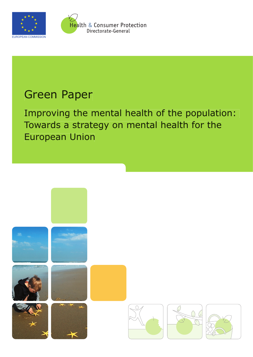



Health & Consumer Protection Directorate-General

# Green Paper

Improving the mental health of the population: Towards a strategy on mental health for the European Union

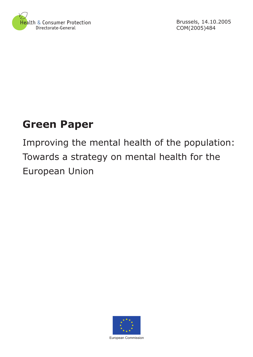

Brussels, 14.10.2005 COM(2005)484

# **Green Paper**

Improving the mental health of the population: Towards a strategy on mental health for the European Union



European Commission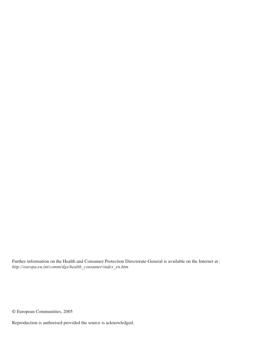Further information on the Health and Consumer Protection Directorate-General is available on the Internet at : *http://europa.eu.int/comm/dgs/health\_consumer/index\_en.htm*

© European Communities, 2005

Reproduction is authorised provided the source is acknowledged.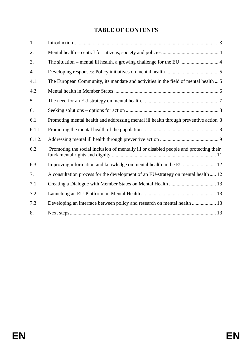# **TABLE OF CONTENTS**

| 1.     |                                                                                        |
|--------|----------------------------------------------------------------------------------------|
| 2.     |                                                                                        |
| 3.     |                                                                                        |
| 4.     |                                                                                        |
| 4.1.   | The European Community, its mandate and activities in the field of mental health  5    |
| 4.2.   |                                                                                        |
| 5.     |                                                                                        |
| 6.     |                                                                                        |
| 6.1.   | Promoting mental health and addressing mental ill health through preventive action 8   |
| 6.1.1. |                                                                                        |
| 6.1.2. |                                                                                        |
| 6.2.   | Promoting the social inclusion of mentally ill or disabled people and protecting their |
| 6.3.   |                                                                                        |
| 7.     | A consultation process for the development of an EU-strategy on mental health  12      |
| 7.1.   |                                                                                        |
| 7.2.   |                                                                                        |
| 7.3.   | Developing an interface between policy and research on mental health  13               |
| 8.     |                                                                                        |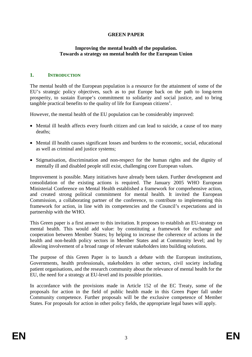## **GREEN PAPER**

## **Improving the mental health of the population. Towards a strategy on mental health for the European Union**

## **1. INTRODUCTION**

The mental health of the European population is a resource for the attainment of some of the EU's strategic policy objectives, such as to put Europe back on the path to long-term prosperity, to sustain Europe's commitment to solidarity and social justice, and to bring tangible practical benefits to the quality of life for European citizens<sup>1</sup>.

However, the mental health of the EU population can be considerably improved:

- Mental ill health affects every fourth citizen and can lead to suicide, a cause of too many deaths;
- Mental ill health causes significant losses and burdens to the economic, social, educational as well as criminal and justice systems;
- Stigmatisation, discrimination and non-respect for the human rights and the dignity of mentally ill and disabled people still exist, challenging core European values.

Improvement is possible. Many initiatives have already been taken. Further development and consolidation of the existing actions is required. The January 2005 WHO European Ministerial Conference on Mental Health established a framework for comprehensive action, and created strong political commitment for mental health. It invited the European Commission, a collaborating partner of the conference, to contribute to implementing this framework for action, in line with its competencies and the Council's expectations and in partnership with the WHO.

This Green paper is a first answer to this invitation. It proposes to establish an EU-strategy on mental health. This would add value: by constituting a framework for exchange and cooperation between Member States; by helping to increase the coherence of actions in the health and non-health policy sectors in Member States and at Community level; and by allowing involvement of a broad range of relevant stakeholders into building solutions.

The purpose of this Green Paper is to launch a debate with the European institutions, Governments, health professionals, stakeholders in other sectors, civil society including patient organisations, and the research community about the relevance of mental health for the EU, the need for a strategy at EU-level and its possible priorities.

In accordance with the provisions made in Article 152 of the EC Treaty, some of the proposals for action in the field of public health made in this Green Paper fall under Community competence. Further proposals will be the exclusive competence of Member States. For proposals for action in other policy fields, the appropriate legal bases will apply.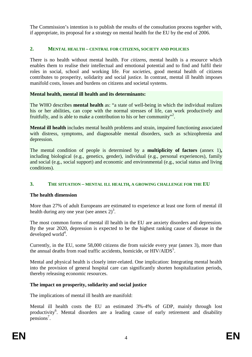The Commission's intention is to publish the results of the consultation process together with, if appropriate, its proposal for a strategy on mental health for the EU by the end of 2006.

## **2. MENTAL HEALTH – CENTRAL FOR CITIZENS, SOCIETY AND POLICIES**

There is no health without mental health. For *citizens*, mental health is a resource which enables them to realise their intellectual and emotional potential and to find and fulfil their roles in social, school and working life. For *societies*, good mental health of citizens contributes to prosperity, solidarity and social justice. In contrast, mental ill health imposes manifold costs, losses and burdens on citizens and societal systems.

# **Mental health, mental ill health and its determinants:**

The WHO describes **mental health** as: "a state of well-being in which the individual realizes his or her abilities, can cope with the normal stresses of life, can work productively and fruitfully, and is able to make a contribution to his or her community"<sup>2</sup>.

**Mental ill health** includes mental health problems and strain, impaired functioning associated with distress, symptoms, and diagnosable mental disorders, such as schizophrenia and depression.

The mental condition of people is determined by a **multiplicity of factors** (annex 1)**,**  including biological (e.g., genetics, gender), individual (e.g., personal experiences), family and social (e.g., social support) and economic and environmental (e.g., social status and living conditions).

# **3. THE SITUATION – MENTAL ILL HEALTH, A GROWING CHALLENGE FOR THE EU**

# **The health dimension**

More than 27% of adult Europeans are estimated to experience at least one form of mental ill health during any one year (see annex  $2^3$ ).

The most common forms of mental ill health in the EU are anxiety disorders and depression. By the year 2020, depression is expected to be the highest ranking cause of disease in the developed world<sup>4</sup>.

Currently, in the EU, some 58,000 citizens die from suicide every year (annex 3), more than the annual deaths from road traffic accidents, homicide, or  $HIV/ALDS<sup>5</sup>$ .

Mental and physical health is closely inter-related. One implication: Integrating mental health into the provision of general hospital care can significantly shorten hospitalization periods, thereby releasing economic resources.

# **The impact on prosperity, solidarity and social justice**

The implications of mental ill health are manifold:

Mental ill health costs the EU an estimated 3%-4% of GDP, mainly through lost productivity<sup>6</sup>. Mental disorders are a leading cause of early retirement and disability pensions<sup>7</sup>.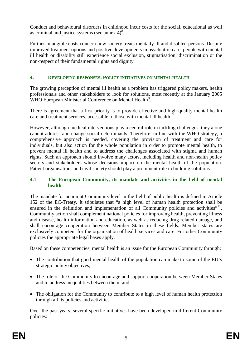Conduct and behavioural disorders in childhood incur costs for the social, educational as well as criminal and justice systems (see annex  $4)^8$ .

Further intangible costs concern how society treats mentally ill and disabled persons. Despite improved treatment options and positive developments in psychiatric care, people with mental ill health or disability still experience social exclusion, stigmatisation, discrimination or the non-respect of their fundamental rights and dignity.

# **4. DEVELOPING RESPONSES: POLICY INITIATIVES ON MENTAL HEALTH**

The growing perception of mental ill health as a problem has triggered policy makers, health professionals and other stakeholders to look for solutions, most recently at the January 2005 WHO European Ministerial Conference on Mental Health<sup>9</sup>.

There is agreement that a first priority is to provide effective and high-quality mental health care and treatment services, accessible to those with mental ill health<sup>10</sup>.

However, although medical interventions play a central role in tackling challenges, they alone cannot address and change social determinants. Therefore, in line with the WHO strategy, a comprehensive approach is needed, covering the provision of treatment and care for individuals, but also action for the whole population in order to promote mental health, to prevent mental ill health and to address the challenges associated with stigma and human rights. Such an approach should involve many actors, including health and non-health policy sectors and stakeholders whose decisions impact on the mental health of the population. Patient organisations and civil society should play a prominent role in building solutions.

# **4.1. The European Community, its mandate and activities in the field of mental health**

The mandate for action at Community level in the field of public health is defined in Article 152 of the EC-Treaty. It stipulates that "a high level of human health protection shall be ensured in the definition and implementation of all Community policies and activities"<sup>11</sup>. Community action shall complement national policies for improving health, preventing illness and disease, health information and education, as well as reducing drug-related damage, and shall encourage cooperation between Member States in these fields. Member states are exclusively competent for the organisation of health services and care. For other Community policies the appropriate legal bases apply.

Based on these competencies, mental health is an issue for the European Community through:

- The contribution that good mental health of the population can make to some of the EU's strategic policy objectives;
- The role of the Community to encourage and support cooperation between Member States and to address inequalities between them; and
- The obligation for the Community to contribute to a high level of human health protection through all its policies and activities.

Over the past years, several specific initiatives have been developed in different Community policies: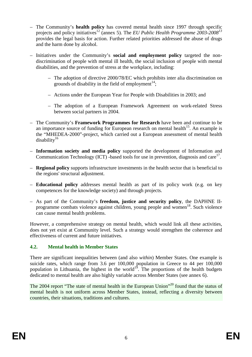- The Community's **health policy** has covered mental health since 1997 through specific projects and policy initiatives<sup>12</sup> (annex 5). The *EU Public Health Programme 2003-2008<sup>13</sup>* provides the legal basis for action. Further related priorities addressed the abuse of drugs and the harm done by alcohol.
- Initiatives under the Community's **social and employment policy** targeted the nondiscrimination of people with mental ill health, the social inclusion of people with mental disabilities, and the prevention of stress at the workplace, including:
	- The adoption of directive 2000/78/EC which prohibits inter alia discrimination on grounds of disability in the field of employment $^{14}$ ;
	- Actions under the European Year for People with Disabilities in 2003; and
	- The adoption of a European Framework Agreement on work-related Stress between social partners in 2004.
- The Community's **Framework Programmes for Research** have been and continue to be an importance source of funding for European research on mental health<sup>15</sup>. An example is the "MHEDEA-2000"-project, which carried out a European assessment of mental health  $disability<sup>16</sup>$
- **Information society and media policy** supported the development of Information and Communication Technology (ICT) -based tools for use in prevention, diagnosis and care<sup>17</sup>.
- **Regional policy** supports infrastructure investments in the health sector that is beneficial to the regions' structural adjustment.
- **Educational policy** addresses mental health as part of its policy work (e.g. on key competences for the knowledge society) and through projects.
- As part of the Community's **freedom, justice and security policy**, the DAPHNE IIprogramme combats violence against children, young people and women<sup>18</sup>. Such violence can cause mental health problems.

However, a comprehensive strategy on mental health, which would link all these activities, does not yet exist at Community level. Such a strategy would strengthen the coherence and effectiveness of current and future initiatives.

# **4.2. Mental health in Member States**

There are significant inequalities between (and also *within*) Member States. One example is suicide rates, which range from 3.6 per 100,000 population in Greece to 44 per 100,000 population in Lithuania, the highest in the world<sup>19</sup>. The proportions of the health budgets dedicated to mental health are also highly variable across Member States (see annex 6).

The 2004 report "The state of mental health in the European Union"<sup>20</sup> found that the status of mental health is not uniform across Member States, instead, reflecting a diversity between countries, their situations, traditions and cultures.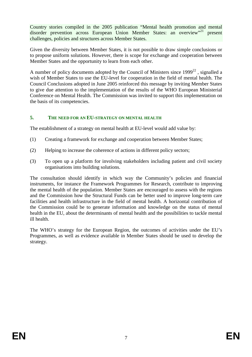Country stories compiled in the 2005 publication "Mental health promotion and mental disorder prevention across European Union Member States: an overview"<sup>21</sup> present challenges, policies and structures across Member States.

Given the diversity between Member States, it is not possible to draw simple conclusions or to propose uniform solutions. However, there is scope for exchange and cooperation between Member States and the opportunity to learn from each other.

A number of policy documents adopted by the Council of Ministers since  $1999^{22}$ , signalled a wish of Member States to use the EU-level for cooperation in the field of mental health. The Council Conclusions adopted in June 2005 reinforced this message by inviting Member States to give due attention to the implementation of the results of the WHO European Ministerial Conference on Mental Health. The Commission was invited to support this implementation on the basis of its competencies.

## **5. THE NEED FOR AN EU-STRATEGY ON MENTAL HEALTH**

The establishment of a strategy on mental health at EU-level would add value by:

- (1) Creating a framework for exchange and cooperation between Member States;
- (2) Helping to increase the coherence of actions in different policy sectors;
- (3) To open up a platform for involving stakeholders including patient and civil society organisations into building solutions.

The consultation should identify in which way the Community's policies and financial instruments, for instance the Framework Programmes for Research, contribute to improving the mental health of the population. Member States are encouraged to assess with the regions and the Commission how the Structural Funds can be better used to improve long-term care facilities and health infrastructure in the field of mental health. A horizontal contribution of the Commission could be to generate information and knowledge on the status of mental health in the EU, about the determinants of mental health and the possibilities to tackle mental ill health.

The WHO's strategy for the European Region, the outcomes of activities under the EU's Programmes, as well as evidence available in Member States should be used to develop the strategy.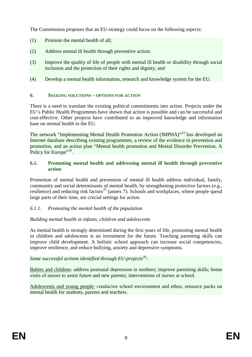The Commission proposes that an EU-strategy could focus on the following aspects:

- (1) Promote the mental health of all;
- (2) Address mental ill health through preventive action;
- (3) Improve the quality of life of people with mental ill health or disability through social inclusion and the protection of their rights and dignity; and
- (4) Develop a mental health information, research and knowledge system for the EU.

# **6. SEEKING SOLUTIONS – OPTIONS FOR ACTION**

There is a need to translate the existing political commitments into action. Projects under the EU's Public Health Programmes have shown that action is possible and can be successful and cost-effective. Other projects have contributed to an improved knowledge and information base on mental health in the EU.

The network "Implementing Mental Health Promotion Action (IMPHA)"<sup>23</sup> has developed an Internet database describing existing programmes, a review of the evidence in prevention and promotion, and an action plan "Mental health promotion and Mental Disorder Prevention. A Policy for Europe"<sup>24</sup>.

## **6.1. Promoting mental health and addressing mental ill health through preventive action**

Promotion of mental health and prevention of mental ill health address individual, family, community and social determinants of mental health, by strengthening protective factors (e.g., resilience) and reducing risk factors<sup>25</sup> (annex 7). Schools and workplaces, where people spend large parts of their time, are crucial settings for action.

# *6.1.1. Promoting the mental health of the population*

# *Building mental health in infants, children and adolescents*

As mental health is strongly determined during the first years of life, promoting mental health in children and adolescents is an investment for the future. Teaching parenting skills can improve child development. A holistic school approach can increase social competencies, improve resilience, and reduce bullying, anxiety and depressive symptoms.

# Some successful actions identified through EU-projects<sup>26</sup>:

Babies and children: address postnatal depression in mothers; improve parenting skills; home visits of nurses to assist future and new parents; interventions of nurses at school.

Adolescents and young people: conducive school environment and ethos; resource packs on mental health for students, parents and teachers.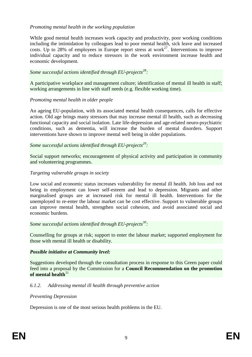# *Promoting mental health in the working population*

While good mental health increases work capacity and productivity, poor working conditions including the intimidation by colleagues lead to poor mental health, sick leave and increased costs. Up to 28% of employees in Europe report stress at work<sup>27</sup>. Interventions to improve individual capacity and to reduce stressors in the work environment increase health and economic development.

## Some successful actions identified through EU-projects<sup>28</sup>:

A participative workplace and management culture; identification of mental ill health in staff; working arrangements in line with staff needs (e.g. flexible working time).

## *Promoting mental health in older people*

An ageing EU-population, with its associated mental health consequences, calls for effective action. Old age brings many stressors that may increase mental ill health, such as decreasing functional capacity and social isolation. Late life-depression and age-related neuro-psychiatric conditions, such as dementia, will increase the burden of mental disorders. Support interventions have shown to improve mental well being in older populations.

## Some successful actions identified through EU-projects<sup>29</sup>:

Social support networks; encouragement of physical activity and participation in community and volunteering programmes.

## *Targeting vulnerable groups in society*

Low social and economic status increases vulnerability for mental ill health. Job loss and not being in employment can lower self-esteem and lead to depression. Migrants and other marginalised groups are at increased risk for mental ill health. Interventions for the unemployed to re-enter the labour market can be cost effective. Support to vulnerable groups can improve mental health, strengthen social cohesion, and avoid associated social and economic burdens.

# Some successful actions identified through EU-projects<sup>30</sup>:

Counselling for groups at risk; support to enter the labour market; supported employment for those with mental ill health or disability.

## *Possible initiative at Community level:*

Suggestions developed through the consultation process in response to this Green paper could feed into a proposal by the Commission for a **Council Recommendation on the promotion**  of mental health<sup>31</sup>

# *6.1.2. Addressing mental ill health through preventive action*

## *Preventing Depression*

Depression is one of the most serious health problems in the EU.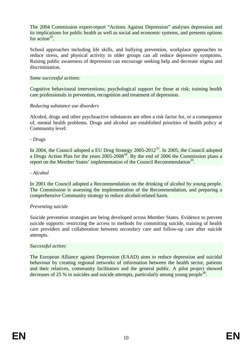The 2004 Commission expert-report "Actions Against Depression" analyses depression and its implications for public health as well as social and economic systems, and presents options for action $32$ .

School approaches including life skills, and bullying prevention, workplace approaches to reduce stress, and physical activity in older groups can all reduce depressive symptoms. Raising public awareness of depression can encourage seeking help and decrease stigma and discrimination.

#### *Some successful actions:*

Cognitive behavioural interventions; psychological support for those at risk; training health care professionals in prevention, recognition and treatment of depression.

## *Reducing substance use disorders*

Alcohol, drugs and other psychoactive substances are often a risk factor for, or a consequence of, mental health problems. Drugs and alcohol are established priorities of health policy at Community level:

#### *- Drugs*

In 2004, the Council adopted a EU Drug Strategy 2005-2012<sup>33</sup>. In 2005, the Council adopted a Drugs Action Plan for the years  $2005-2008^{34}$ . By the end of 2006 the Commission plans a report on the Member States' implementation of the Council Recommendation<sup>35</sup>.

#### *- Alcohol*

In 2001 the Council adopted a Recommendation on the drinking of alcohol by young people. The Commission is assessing the implementation of the Recommendation, and preparing a comprehensive Community strategy to reduce alcohol-related harm.

## *Preventing suicide*

Suicide prevention strategies are being developed across Member States. Evidence to prevent suicide supports: restricting the access to methods for committing suicide, training of health care providers and collaboration between secondary care and follow-up care after suicide attempts.

#### *Successful action:*

The European Alliance against Depression (EAAD) aims to reduce depression and suicidal behaviour by creating regional networks of information between the health sector, patients and their relatives, community facilitators and the general public. A pilot project showed decreases of 25 % in suicides and suicide attempts, particularly among young people<sup>36</sup>.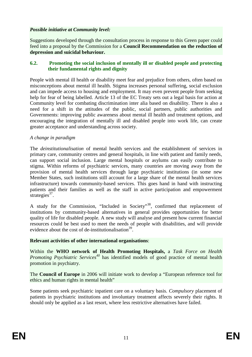## *Possible initiative at Community level:*

Suggestions developed through the consultation process in response to this Green paper could feed into a proposal by the Commission for a **Council Recommendation on the reduction of depression and suicidal behaviour.**

## **6.2. Promoting the social inclusion of mentally ill or disabled people and protecting their fundamental rights and dignity**

People with mental ill health or disability meet fear and prejudice from others, often based on misconceptions about mental ill health. Stigma increases personal suffering, social exclusion and can impede access to housing and employment. It may even prevent people from seeking help for fear of being labelled. Article 13 of the EC Treaty sets out a legal basis for action at Community level for combating discrimination inter alia based on disability. There is also a need for a shift in the attitudes of the public, social partners, public authorities and Governments: improving public awareness about mental ill health and treatment options, and encouraging the integration of mentally ill and disabled people into work life, can create greater acceptance and understanding across society.

## *A change in paradigm*

The *deinstitutionalisation* of mental health services and the establishment of services in primary care, community centres and general hospitals, in line with patient and family needs, can support social inclusion. Large mental hospitals or asylums can easily contribute to stigma. Within reforms of psychiatric services, many countries are moving away from the provision of mental health services through large psychiatric institutions (in some new Member States, such institutions still account for a large share of the mental health services infrastructure) towards community-based services. This goes hand in hand with instructing patients and their families as well as the staff in active participation and empowerment strategies<sup>37</sup>.

A study for the Commission, "Included in Society"38, confirmed that replacement of institutions by community-based alternatives in general provides opportunities for better quality of life for disabled people. A new study will analyse and present how current financial resources could be best used to meet the needs of people with disabilities, and will provide evidence about the cost of de-institutionalisation<sup>39</sup>.

## **Relevant activities of other international organisations**:

Within the **WHO network of Health Promoting Hospitals,** a *Task Force on Health Promoting Psychiatric Services<sup>40</sup>* has identified models of good practice of mental health promotion in psychiatry.

The **Council of Europe** in 2006 will initiate work to develop a "European reference tool for ethics and human rights in mental health"

Some patients seek psychiatric inpatient care on a voluntary basis. *Compulsory* placement of patients in psychiatric institutions and involuntary treatment affects severely their rights. It should only be applied as a last resort, where less restrictive alternatives have failed.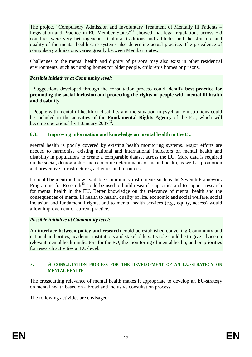The project "Compulsory Admission and Involuntary Treatment of Mentally Ill Patients – Legislation and Practice in EU-Member States<sup>"41</sup> showed that legal regulations across EU countries were very heterogeneous. Cultural traditions and attitudes and the structure and quality of the mental health care systems also determine actual practice. The prevalence of compulsory admissions varies greatly between Member States.

Challenges to the mental health and dignity of persons may also exist in other residential environments, such as nursing homes for older people, children's homes or prisons.

# *Possible initiatives at Community level:*

- Suggestions developed through the consultation process could identify **best practice for promoting the social inclusion and protecting the rights of people with mental ill health and disability**.

- People with mental ill health or disability and the situation in psychiatric institutions could be included in the activities of the **Fundamental Rights Agency** of the EU, which will become operational by 1 January  $2007^{42}$ .

# **6.3. Improving information and knowledge on mental health in the EU**

Mental health is poorly covered by existing health monitoring systems. Major efforts are needed to harmonise existing national and international indicators on mental health and disability in populations to create a comparable dataset across the EU. More data is required on the social, demographic and economic determinants of mental health, as well as promotion and preventive infrastructures, activities and resources.

It should be identified how available Community instruments such as the Seventh Framework Programme for Research<sup> $43$ </sup> could be used to build research capacities and to support research for mental health in the EU. Better knowledge on the relevance of mental health and the consequences of mental ill health to health, quality of life, economic and social welfare, social inclusion and fundamental rights, and to mental health services (e.g., equity, access) would allow improvement of current practice.

# *Possible initiative at Community level:*

An **interface between policy and research** could be established convening Community and national authorities, academic institutions and stakeholders. Its role could be to give advice on relevant mental health indicators for the EU, the monitoring of mental health, and on priorities for research activities at EU-level.

## **7. A CONSULTATION PROCESS FOR THE DEVELOPMENT OF AN EU-STRATEGY ON MENTAL HEALTH**

The crosscutting relevance of mental health makes it appropriate to develop an EU-strategy on mental health based on a broad and inclusive consultation process.

The following activities are envisaged: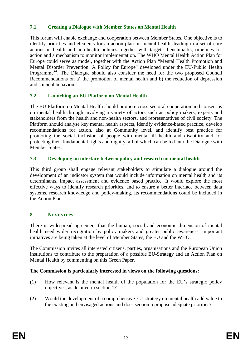# **7.1. Creating a Dialogue with Member States on Mental Health**

This forum will enable exchange and cooperation between Member States. One objective is to identify priorities and elements for an action plan on mental health, leading to a set of core actions in health and non-health policies together with targets, benchmarks, timelines for action and a mechanism to monitor implementation. The WHO Mental Health Action Plan for Europe could serve as model, together with the Action Plan "Mental Health Promotion and Mental Disorder Prevention: A Policy for Europe" developed under the EU-Public Health Programme<sup>44</sup>. The Dialogue should also consider the need for the two proposed Council Recommendations on a) the promotion of mental health and b) the reduction of depression and suicidal behaviour.

# **7.2. Launching an EU-Platform on Mental Health**

The EU-Platform on Mental Health should promote cross-sectoral cooperation and consensus on mental health through involving a variety of actors such as policy makers, experts and stakeholders from the health and non-health sectors, and representatives of civil society. The Platform should analyse key mental health aspects, identify evidence-based practice, develop recommendations for action, also at Community level, and identify best practice for promoting the social inclusion of people with mental ill health and disability and for protecting their fundamental rights and dignity, all of which can be fed into the Dialogue with Member States.

## **7.3. Developing an interface between policy and research on mental health**

This third group shall engage relevant stakeholders to stimulate a dialogue around the development of an indicator system that would include information on mental health and its determinants, impact assessment and evidence based practice. It would explore the most effective ways to identify research priorities, and to ensure a better interface between data systems, research knowledge and policy-making. Its recommendations could be included in the Action Plan.

# **8. NEXT STEPS**

There is widespread agreement that the human, social and economic dimension of mental health need wider recognition by policy makers and greater public awareness. Important initiatives are being taken at the level of Member States, the EU and the WHO.

The Commission invites all interested citizens, parties, organisations and the European Union institutions to contribute to the preparation of a possible EU-Strategy and an Action Plan on Mental Health by commenting on this Green Paper.

# **The Commission is particularly interested in views on the following questions:**

- (1) How relevant is the mental health of the population for the EU's strategic policy objectives, as detailed in section 1?
- (2) Would the development of a comprehensive EU-strategy on mental health add value to the existing and envisaged actions and does section 5 propose adequate priorities?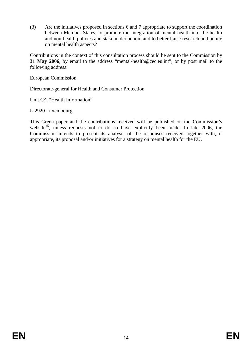(3) Are the initiatives proposed in sections 6 and 7 appropriate to support the coordination between Member States, to promote the integration of mental health into the health and non-health policies and stakeholder action, and to better liaise research and policy on mental health aspects?

Contributions in the context of this consultation process should be sent to the Commission by **31 May 2006**, by email to the address "mental-health@cec.eu.int", or by post mail to the following address:

European Commission

Directorate-general for Health and Consumer Protection

Unit C/2 "Health Information"

L-2920 Luxembourg

This Green paper and the contributions received will be published on the Commission's website<sup>45</sup>, unless requests not to do so have explicitly been made. In late 2006, the Commission intends to present its analysis of the responses received together with, if appropriate, its proposal and/or initiatives for a strategy on mental health for the EU.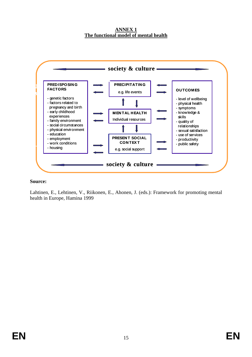**ANNEX 1 The functional model of mental health**



Lahtinen, E., Lehtinen, V., Riikonen, E., Ahonen, J. (eds.): Framework for promoting mental health in Europe, Hamina 1999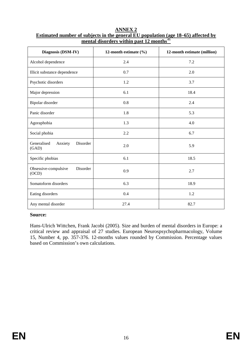| Diagnosis (DSM-IV)                          | 12-month estimate $(\% )$ | 12-month estimate (million) |
|---------------------------------------------|---------------------------|-----------------------------|
| Alcohol dependence                          | 2.4                       | 7.2                         |
| Illicit substance dependence                | 0.7                       | 2.0                         |
| Psychotic disorders                         | 1.2                       | 3.7                         |
| Major depression                            | 6.1                       | 18.4                        |
| Bipolar disorder                            | 0.8                       | 2.4                         |
| Panic disorder                              | 1.8                       | 5.3                         |
| Agoraphobia                                 | 1.3                       | 4.0                         |
| Social phobia                               | 2.2                       | 6.7                         |
| Generalised<br>Disorder<br>Anxiety<br>(GAD) | 2.0                       | 5.9                         |
| Specific phobias                            | 6.1                       | 18.5                        |
| Disorder<br>Obsessive-compulsive<br>(OCD)   | 0.9                       | 2.7                         |
| Somatoform disorders                        | 6.3                       | 18.9                        |
| Eating disorders                            | 0.4                       | 1.2                         |
| Any mental disorder                         | 27.4                      | 82.7                        |

**ANNEX 2 Estimated number of subjects in the general EU population (age 18–65) affected by mental disorders within past 12 months**<sup>46</sup>

Hans-Ulrich Wittchen, Frank Jacobi (2005). Size and burden of mental disorders in Europe: a critical review and appraisal of 27 studies. European Neurospsychopharmacology, Volume 15, Number 4, pp. 357-376. 12-months values rounded by Commission. Percentage values based on Commission's own calculations.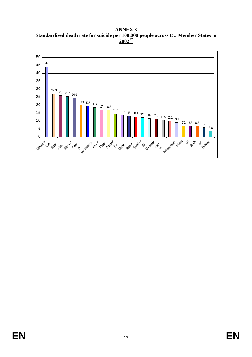**ANNEX 3 Standardised death rate for suicide per 100.000 people across EU Member States in**  <sup>47</sup>

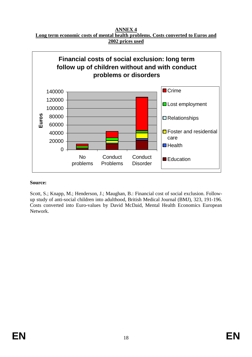**ANNEX 4 Long term economic costs of mental health problems. Costs converted to Euros and 2002 prices used**

![](_page_21_Figure_1.jpeg)

Scott, S.; Knapp, M.; Henderson, J.; Maughan, B.: Financial cost of social exclusion. Followup study of anti-social children into adulthood, British Medical Journal (BMJ), 323, 191-196. Costs converted into Euro-values by David McDaid, Mental Health Economics European Network.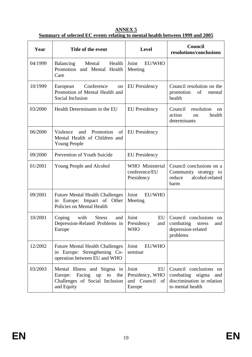| Year    | Title of the event                                                                                             | <b>Level</b>                                               | Council<br>resolutions/conclusions                                                                  |
|---------|----------------------------------------------------------------------------------------------------------------|------------------------------------------------------------|-----------------------------------------------------------------------------------------------------|
| 04/1999 | Health<br><b>Balancing</b><br>Mental<br>Promotion and Mental Health<br>Care                                    | Joint<br>EU/WHO<br>Meeting                                 |                                                                                                     |
| 10/1999 | Conference<br>European<br>on<br>Promotion of Mental Health and<br>Social Inclusion                             | <b>EU</b> Presidency                                       | Council resolution on the<br>promotion<br>of<br>mental<br>health                                    |
| 03/2000 | Health Determinants in the EU                                                                                  | <b>EU</b> Presidency                                       | Council<br>resolution<br>on<br>health<br>action<br><sub>on</sub><br>determinants                    |
| 06/2000 | Violence<br>Promotion<br>and<br>of<br>Mental Health of Children and<br><b>Young People</b>                     | <b>EU</b> Presidency                                       |                                                                                                     |
| 09/2000 | Prevention of Youth Suicide                                                                                    | <b>EU</b> Presidency                                       |                                                                                                     |
| 01/2001 | Young People and Alcohol                                                                                       | WHO Ministerial<br>conference/EU<br>Presidency             | Council conclusions on a<br>Community strategy to<br>reduce<br>alcohol-related<br>harm              |
| 09/2001 | <b>Future Mental Health Challenges</b><br>Europe: Impact of Other<br>in<br>Policies on Mental Health           | Joint<br><b>EU/WHO</b><br>Meeting                          |                                                                                                     |
| 10/2001 | with<br><b>Stress</b><br>Coping<br>and<br>Depression-Related Problems in<br>Europe                             | Joint<br>EU<br>Presidency<br>and<br><b>WHO</b>             | Council conclusions<br>on<br>combating<br>stress<br>and<br>depression-related<br>problems           |
| 12/2002 | <b>Future Mental Health Challenges</b><br>in Europe: Strengthening Co-<br>operation between EU and WHO         | Joint<br>EU/WHO<br>seminar                                 |                                                                                                     |
| 03/2003 | Mental Illness and Stigma in<br>Europe: Facing up<br>to<br>the<br>Challenges of Social Inclusion<br>and Equity | Joint<br>EU<br>Presidency, WHO<br>and Council of<br>Europe | Council conclusions on<br>combating stigma<br>and<br>discrimination in relation<br>to mental health |

**ANNEX 5 Summary of selected EC events relating to mental health between 1999 and 2005**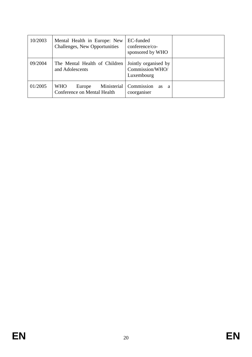| 10/2003 | Mental Health in Europe: New<br>Challenges, New Opportunities      | EC-funded<br>conference/co-<br>sponsored by WHO       |  |
|---------|--------------------------------------------------------------------|-------------------------------------------------------|--|
| 09/2004 | The Mental Health of Children<br>and Adolescents                   | Jointly organised by<br>Commission/WHO/<br>Luxembourg |  |
| 01/2005 | Ministerial<br><b>WHO</b><br>Europe<br>Conference on Mental Health | Commission<br><b>as</b><br>- a<br>coorganiser         |  |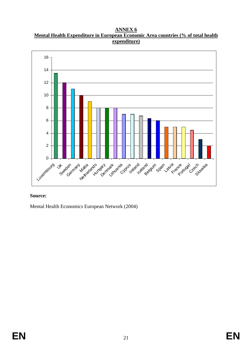**ANNEX 6 Mental Health Expenditure in European Economic Area countries (% of total health expenditure)**

![](_page_24_Figure_1.jpeg)

Mental Health Economics European Network (2004)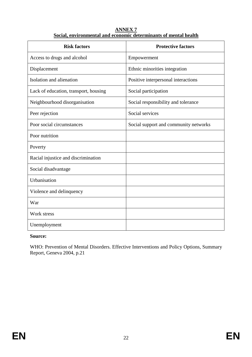| <b>ANNEX7</b>                                                    |
|------------------------------------------------------------------|
| Social, environmental and economic determinants of mental health |

| <b>Risk factors</b>                   | <b>Protective factors</b>             |
|---------------------------------------|---------------------------------------|
| Access to drugs and alcohol           | Empowerment                           |
| Displacement                          | Ethnic minorities integration         |
| Isolation and alienation              | Positive interpersonal interactions   |
| Lack of education, transport, housing | Social participation                  |
| Neighbourhood disorganisation         | Social responsibility and tolerance   |
| Peer rejection                        | Social services                       |
| Poor social circumstances             | Social support and community networks |
| Poor nutrition                        |                                       |
| Poverty                               |                                       |
| Racial injustice and discrimination   |                                       |
| Social disadvantage                   |                                       |
| Urbanisation                          |                                       |
| Violence and delinquency              |                                       |
| War                                   |                                       |
| Work stress                           |                                       |
| Unemployment                          |                                       |

WHO: Prevention of Mental Disorders. Effective Interventions and Policy Options, Summary Report, Geneva 2004, p.21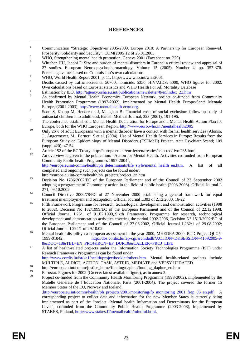## **REFERENCES**

- 1 Communication "Strategic Objectives 2005-2009. Europe 2010: A Partnership for European Renewal. Prosperity, Solidarity and Security", COM(2005)12 of 26.01.2005
- WHO, Strengthening mental health promotion, Geneva 2001 (Fact sheet no. 220)
- 3 Wittchen HU, Jacobi F: Size and burden of mental disorders in Europe: a critical review and appraisal of 27 studies. European Neurospsychopharmacology, Volume 15 (2005), Number 4, pp. 357-376. Percentage values based on Commission's own calculations.
- WHO, World Health Report 2001, p. 11. http://www.who.int/whr/2001
- 5 Deaths caused by traffic accidents: 50700, homicide: 5350, HIV/AIDS: 5000, WHO figures for 2002. Own calculations based on Eurostat statistics and WHO Health For All Mortality Database
- <sup>6</sup><br>Estimation by ILO. http://agency.osha.eu.int/publications/newsletter/8/en/index\_23.htm
- As confirmed by Mental Health Economics European Network, project co-funded from Community Health Promotion Programme (1997-2002), implemented by Mental Health Europe-Santé Mentale Europe,  $(2001-2003)$ , http://www.mentalhealth-econ.org.
- Scott S, Knapp M, Henderson J, Maughan B: Financial costs of social exclusion: follow-up study of antisocial children into adulthood, British Medical Journal, 323 (2001), 191-196.
- The conference established a Mental Health Declaration for Europe and a Mental Health Action Plan for
- Europe, both for the WHO European Region. http://www.euro.who.int/mentalhealth2005 0nly 26% of adult Europeans with a mental disorder have a contact with formal health services (Alonso, J., Angermeyer, M., Bernert, S.et al. (2004). Use of Mental Health Services in Europe: Results from the European Study on Epidemiology of Mental Disorders (ESEMeD) Project. Acta Psychiatr Scand; 109
- (suppl 420): 47-54. 11 Article 152 of the EC Treaty, http://europa.eu.int/eur-lex/en/treaties/selected/livre235.html
- 12 An overview is given in the publication: "Action for Mental Health. Activities co-funded from European Community Public health Programmes 1997-2004", http://europa.eu.int/comm/health/ph\_determinants/life\_style/mental\_health\_en.htm. A list of all completed and ongoing such projects can be found under:
- http://europa.eu.int/comm/health/ph\_projects/project\_en.htm<br>
Decision No 1786/2002/EC of the European Parliament and of the Council of 23 September 2002 adopting a programme of Community action in the field of public health (2003-2008). Official Journal L
- <sup>14</sup> Council Directive 2000/78/EC of 27 November 2000 establishing a general framework for equal treatment in employment and occupation, Official Journal L303 of 2.12.2000, 16-22
- 15 of 12.12.2000, 15 Fifth Framework Programme for research, technological development and demonstration activities (1998 to 2002), Decision No 182/1999/EC of the European Parliament and of the Council of 22.12.1998, Official Journal L26/1 of 01.02.1999,.Sixth Framework Programme for research, technological development and demonstration activities covering the period 2002-2006, Decision N° 1513/2002/EC of the European Parliament and of the Council of 27.06.2002, Official Journal L232/1 of 29.08.2002;
- Official Journal L294/1 of 29.10.02.<br><sup>16</sup> Mental health disability : a european assessment in the year 2000, MHEDEA-2000, RTD Project QLG5-1999-01042, http://dbs.cordis.lu/fep-cgi/srchidadb?ACTION=D&SESSION=41092005-9-
- <sup>17</sup> A list of health-related projects under the Information Society Technologies Programme (IST) under Reseach Framework Programmes can be found under http://www.cordis.lu/ist/ka1/health/projectbooklet/others.htm. Mental health-related projects include
- MULTIPLE, ALDICT, ACTION, TASK, ASTRID, MEDIATE and VEPSY UPDATED.<br>
http://europa.eu.int/comm/justice\_home/funding/daphne/funding\_daphne\_en.htm
- <sup>19</sup> Eurostat. Figures for 2002 (Greece: latest available figure), as in annex 2.
- 20 Project co-funded from the Community Health Monitoring Programme (1998-2002), implemented by the Mutelle Générale de l'Education Nationale, Paris (2001-2004). The project covered the former 15 Member States of the EU, Norway and Iceland, .http://europa.eu.int/comm/health/ph\_projects/2001/monitoring/fp\_monitoring\_2001\_frep\_06\_en.pdf. A corresponding project to collect data and information for the new Member States is currently being

implemented as part of the "project "Mental health Information and Determinants for the European Level", cofunded from the Community Public Health Programme (2003-2008), implemented by STAKES, Finland, http://www.stakes.fi/mentalhealth/mindful.html.

 $\overline{a}$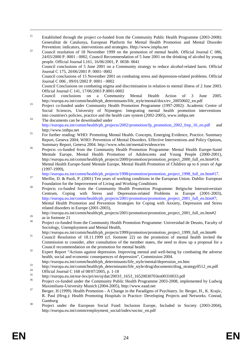- <sup>21</sup> Established through the project co-funded from the Community Public Health Programme (2003-2008): Generalitat de Catalunya, European Platform for Mental Health Promotion and Mental Disorder
- Prevention: indicators, interventions and strategies. Http://www.impha.net<br>
22 Council resolution of 18 November 1999 on the promotion of mental health. Official Journal C 086, 24/03/2000 P. 0001 - 0002, Council Recommendation of 5 June 2001 on the drinking of alcohol by young people. Official Journal L161, 16/06/2001, P. 0038- 0041 Council conclusions of 5 June 2001 on a Community strategy to reduce alcohol-related harm. Official Journal C 175, 20/06/2001 P. 0001- 0002 Council conclusions of 15 November 2001 on combating stress and depression-related problems. Official Journal C 006 , 09/01/2002 P. 0001 - 0002 Council Conclusions on combating stigma and discrimination in relation to mental illness of 2 June 2003. Official Journal C 141, 17/06/2003 P.0001-0002
	- Council conclusions on a Community Mental Health Action of 3 June 2005.<br>http://europa.eu.int/comm/health/ph determinants/life style/mental/docs/ev 20050602 en.pdf
- $\frac{1}{23}$  Project co-funded under Community Health Promotion Programme (1997-2002): Academic Centre of Social Sciences, University of Nijmegen: Integrating mental health promotion interventions into countries's policies, practice and the health care system (2002-2005), www.imhpa.net 24 The documents can be downloaded under
- http://europa.eu.int/comm/health/ph\_projects/2002/promotion/fp\_promotion\_2002\_frep\_16\_en.pdf and
- http://www.imhpa.net<br>
<sup>25</sup> For further reading: WHO: Promoting Mental Health. Concepts, Emerging Evidence, Practice. Summary Report, Geneva 2004; WHO: Prevention of Mental Disorders. Effective Interventions and Policy Options, Summary Report, Geneva 2004. http://www.who.int/mental/evidence/en
- <sup>26</sup> Projects co-funded from the Community Health Promotion Programme: Mental Health Europe-Santé Mentale Europe, Mental Health Promotion of Adolescents and Young People (2000-2001), http://europa.eu.int/comm/health/ph\_projects/2000/promotion/promotion\_project\_2000\_full\_en.htm#14; Mental Health Europe-Santé Mentale Europe, Mental Health Promotion of Children up to 6 years of Age
- (1997-1999),<br>http://europa.eu.int/comm/health/ph\_projects/1998/promotion/promotion\_project\_1998\_full\_en.htm#17.
- <sup>27</sup> Merllie, D. & Paoli, P. (2001) Ten years of working conditions in the European Union. Dublin: European Foundation for the Improvement of Living and Working Conditions
- <sup>28</sup> Projects co-funded from the Community Health Promotion Programme: Belgische Interuniversitair Centrum, Coping with Stress and Depression-related Problems in Europe (2001-2003), http://europa.eu.int/comm/health/ph\_projects/2001/promotion/promotion\_project\_2001\_full\_en.htm#7; Mental Health Promotion and Prevention Strategies for Coping with Anxiety, Depression and Stress related disorders in Europe (2001-2003),
	- http://europa.eu.int/comm/health/ph\_projects/2001/promotion/promotion\_project\_2001\_full\_en.htm#2
- $rac{29}{30}$  as in footnote 21

-

- 30 Project co-funded from the Community Health Promotion Programme: Universidad de Deusto, Faculty of Sociology, Unemployment and Mental Health,<br>http://europa.eu.int/comm/health/ph\_projects/1999/promotion/promotion\_project\_1999\_full\_en.htm#6
- 
- http://europa.eu.int/comm/health/ph\_projects/1999/promotion\_promotion\_project\_1999\_nam\_en.html<br>Council Resolution of 18.11.1999 (cf. footnote 22) on the promotion of mental health invited the Commission to consider, after consultation of the member states, the need to draw up a proposal for a
- Council recommendation on the promotion for mental health.<br><sup>32</sup> Expert Report "Actions against depression. Improving mental and well-being by combating the adverse health, social and economic consequences of depression", Commission 2004.<br>http://europa.eu.int/comm/health/ph\_determinants/life\_style/mental/depression\_en.htm
- 
- http://europa.eu.int/comm/health/ph\_determinants/life\_style/drug/documents/drug\_strategy0512\_en.pdf<br>34 0Circlession\_34 0Circlession\_31 0Circlession\_31 0Circlession\_31 10
- $^{34}$  Official Journal C 168 of 08/07/2005, p. 1-18
- <sup>35</sup> http://europa.eu.int/eur-lex/pri/en/oj/dat/2003/l\_165/l\_16520030703en00310033.pdf
- Project co-funded under the Community Public Health Programme 2003-2008, implemented by Ludwig<br>Maximilians-University Munich (2004-2005), http://www.eaad.net
- Maximilians-University Munich (2004-2005), http://www.eaad.net<br>Berger, H., K. Krajic, Berger, H., K. Krajic, R. Paul (Hrsg.): Health Promoting Hospitals in Practice: Developing Projects and Networks. Conrad, Gamburg<br><sup>38</sup> Project under the European Social Fund: Inclusion Europe, Included in Society (2003-2004),
- http://europa.eu.int/comm/employment\_social/index/socinc\_en.pdf